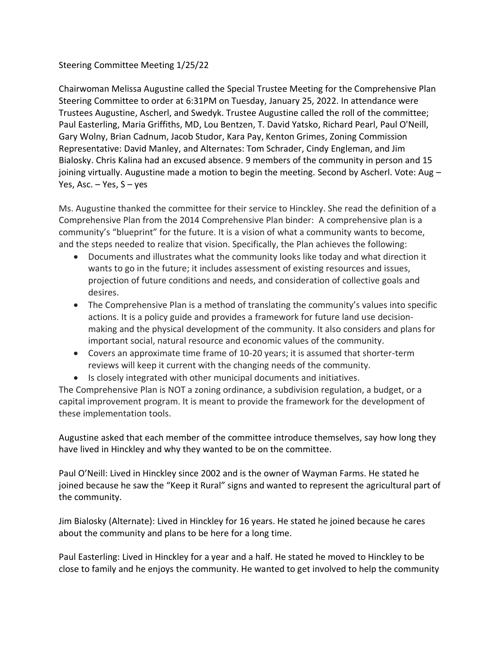## Steering Committee Meeting 1/25/22

Chairwoman Melissa Augustine called the Special Trustee Meeting for the Comprehensive Plan Steering Committee to order at 6:31PM on Tuesday, January 25, 2022. In attendance were Trustees Augustine, Ascherl, and Swedyk. Trustee Augustine called the roll of the committee; Paul Easterling, Maria Griffiths, MD, Lou Bentzen, T. David Yatsko, Richard Pearl, Paul O'Neill, Gary Wolny, Brian Cadnum, Jacob Studor, Kara Pay, Kenton Grimes, Zoning Commission Representative: David Manley, and Alternates: Tom Schrader, Cindy Engleman, and Jim Bialosky. Chris Kalina had an excused absence. 9 members of the community in person and 15 joining virtually. Augustine made a motion to begin the meeting. Second by Ascherl. Vote: Aug – Yes, Asc.  $-$  Yes, S  $-$  yes

Ms. Augustine thanked the committee for their service to Hinckley. She read the definition of a Comprehensive Plan from the 2014 Comprehensive Plan binder: A comprehensive plan is a community's "blueprint" for the future. It is a vision of what a community wants to become, and the steps needed to realize that vision. Specifically, the Plan achieves the following:

- Documents and illustrates what the community looks like today and what direction it wants to go in the future; it includes assessment of existing resources and issues, projection of future conditions and needs, and consideration of collective goals and desires.
- The Comprehensive Plan is a method of translating the community's values into specific actions. It is a policy guide and provides a framework for future land use decisionmaking and the physical development of the community. It also considers and plans for important social, natural resource and economic values of the community.
- Covers an approximate time frame of 10-20 years; it is assumed that shorter-term reviews will keep it current with the changing needs of the community.
- Is closely integrated with other municipal documents and initiatives.

The Comprehensive Plan is NOT a zoning ordinance, a subdivision regulation, a budget, or a capital improvement program. It is meant to provide the framework for the development of these implementation tools.

Augustine asked that each member of the committee introduce themselves, say how long they have lived in Hinckley and why they wanted to be on the committee.

Paul O'Neill: Lived in Hinckley since 2002 and is the owner of Wayman Farms. He stated he joined because he saw the "Keep it Rural" signs and wanted to represent the agricultural part of the community.

Jim Bialosky (Alternate): Lived in Hinckley for 16 years. He stated he joined because he cares about the community and plans to be here for a long time.

Paul Easterling: Lived in Hinckley for a year and a half. He stated he moved to Hinckley to be close to family and he enjoys the community. He wanted to get involved to help the community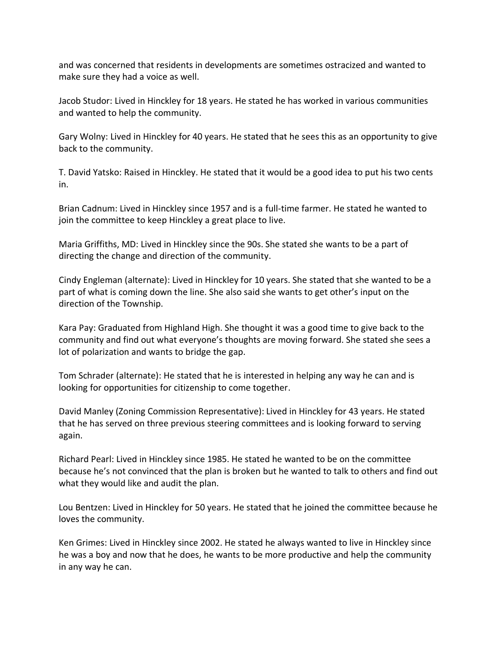and was concerned that residents in developments are sometimes ostracized and wanted to make sure they had a voice as well.

Jacob Studor: Lived in Hinckley for 18 years. He stated he has worked in various communities and wanted to help the community.

Gary Wolny: Lived in Hinckley for 40 years. He stated that he sees this as an opportunity to give back to the community.

T. David Yatsko: Raised in Hinckley. He stated that it would be a good idea to put his two cents in.

Brian Cadnum: Lived in Hinckley since 1957 and is a full-time farmer. He stated he wanted to join the committee to keep Hinckley a great place to live.

Maria Griffiths, MD: Lived in Hinckley since the 90s. She stated she wants to be a part of directing the change and direction of the community.

Cindy Engleman (alternate): Lived in Hinckley for 10 years. She stated that she wanted to be a part of what is coming down the line. She also said she wants to get other's input on the direction of the Township.

Kara Pay: Graduated from Highland High. She thought it was a good time to give back to the community and find out what everyone's thoughts are moving forward. She stated she sees a lot of polarization and wants to bridge the gap.

Tom Schrader (alternate): He stated that he is interested in helping any way he can and is looking for opportunities for citizenship to come together.

David Manley (Zoning Commission Representative): Lived in Hinckley for 43 years. He stated that he has served on three previous steering committees and is looking forward to serving again.

Richard Pearl: Lived in Hinckley since 1985. He stated he wanted to be on the committee because he's not convinced that the plan is broken but he wanted to talk to others and find out what they would like and audit the plan.

Lou Bentzen: Lived in Hinckley for 50 years. He stated that he joined the committee because he loves the community.

Ken Grimes: Lived in Hinckley since 2002. He stated he always wanted to live in Hinckley since he was a boy and now that he does, he wants to be more productive and help the community in any way he can.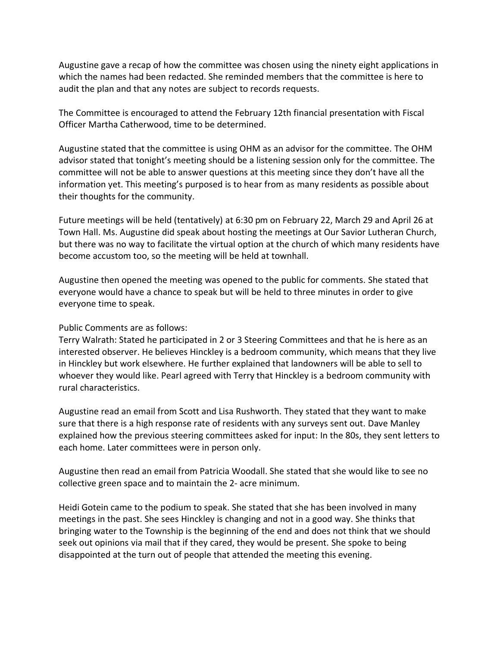Augustine gave a recap of how the committee was chosen using the ninety eight applications in which the names had been redacted. She reminded members that the committee is here to audit the plan and that any notes are subject to records requests.

The Committee is encouraged to attend the February 12th financial presentation with Fiscal Officer Martha Catherwood, time to be determined.

Augustine stated that the committee is using OHM as an advisor for the committee. The OHM advisor stated that tonight's meeting should be a listening session only for the committee. The committee will not be able to answer questions at this meeting since they don't have all the information yet. This meeting's purposed is to hear from as many residents as possible about their thoughts for the community.

Future meetings will be held (tentatively) at 6:30 pm on February 22, March 29 and April 26 at Town Hall. Ms. Augustine did speak about hosting the meetings at Our Savior Lutheran Church, but there was no way to facilitate the virtual option at the church of which many residents have become accustom too, so the meeting will be held at townhall.

Augustine then opened the meeting was opened to the public for comments. She stated that everyone would have a chance to speak but will be held to three minutes in order to give everyone time to speak.

## Public Comments are as follows:

Terry Walrath: Stated he participated in 2 or 3 Steering Committees and that he is here as an interested observer. He believes Hinckley is a bedroom community, which means that they live in Hinckley but work elsewhere. He further explained that landowners will be able to sell to whoever they would like. Pearl agreed with Terry that Hinckley is a bedroom community with rural characteristics.

Augustine read an email from Scott and Lisa Rushworth. They stated that they want to make sure that there is a high response rate of residents with any surveys sent out. Dave Manley explained how the previous steering committees asked for input: In the 80s, they sent letters to each home. Later committees were in person only.

Augustine then read an email from Patricia Woodall. She stated that she would like to see no collective green space and to maintain the 2- acre minimum.

Heidi Gotein came to the podium to speak. She stated that she has been involved in many meetings in the past. She sees Hinckley is changing and not in a good way. She thinks that bringing water to the Township is the beginning of the end and does not think that we should seek out opinions via mail that if they cared, they would be present. She spoke to being disappointed at the turn out of people that attended the meeting this evening.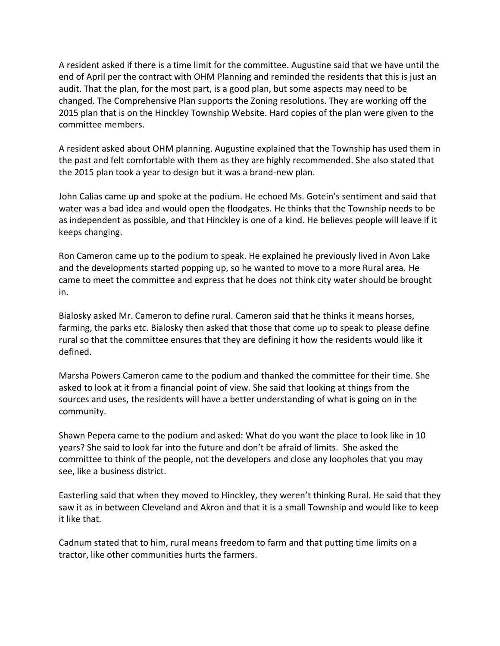A resident asked if there is a time limit for the committee. Augustine said that we have until the end of April per the contract with OHM Planning and reminded the residents that this is just an audit. That the plan, for the most part, is a good plan, but some aspects may need to be changed. The Comprehensive Plan supports the Zoning resolutions. They are working off the 2015 plan that is on the Hinckley Township Website. Hard copies of the plan were given to the committee members.

A resident asked about OHM planning. Augustine explained that the Township has used them in the past and felt comfortable with them as they are highly recommended. She also stated that the 2015 plan took a year to design but it was a brand-new plan.

John Calias came up and spoke at the podium. He echoed Ms. Gotein's sentiment and said that water was a bad idea and would open the floodgates. He thinks that the Township needs to be as independent as possible, and that Hinckley is one of a kind. He believes people will leave if it keeps changing.

Ron Cameron came up to the podium to speak. He explained he previously lived in Avon Lake and the developments started popping up, so he wanted to move to a more Rural area. He came to meet the committee and express that he does not think city water should be brought in.

Bialosky asked Mr. Cameron to define rural. Cameron said that he thinks it means horses, farming, the parks etc. Bialosky then asked that those that come up to speak to please define rural so that the committee ensures that they are defining it how the residents would like it defined.

Marsha Powers Cameron came to the podium and thanked the committee for their time. She asked to look at it from a financial point of view. She said that looking at things from the sources and uses, the residents will have a better understanding of what is going on in the community.

Shawn Pepera came to the podium and asked: What do you want the place to look like in 10 years? She said to look far into the future and don't be afraid of limits. She asked the committee to think of the people, not the developers and close any loopholes that you may see, like a business district.

Easterling said that when they moved to Hinckley, they weren't thinking Rural. He said that they saw it as in between Cleveland and Akron and that it is a small Township and would like to keep it like that.

Cadnum stated that to him, rural means freedom to farm and that putting time limits on a tractor, like other communities hurts the farmers.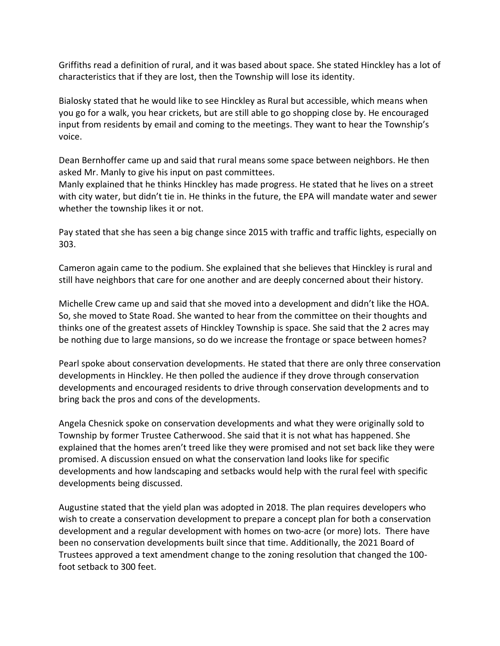Griffiths read a definition of rural, and it was based about space. She stated Hinckley has a lot of characteristics that if they are lost, then the Township will lose its identity.

Bialosky stated that he would like to see Hinckley as Rural but accessible, which means when you go for a walk, you hear crickets, but are still able to go shopping close by. He encouraged input from residents by email and coming to the meetings. They want to hear the Township's voice.

Dean Bernhoffer came up and said that rural means some space between neighbors. He then asked Mr. Manly to give his input on past committees.

Manly explained that he thinks Hinckley has made progress. He stated that he lives on a street with city water, but didn't tie in. He thinks in the future, the EPA will mandate water and sewer whether the township likes it or not.

Pay stated that she has seen a big change since 2015 with traffic and traffic lights, especially on 303.

Cameron again came to the podium. She explained that she believes that Hinckley is rural and still have neighbors that care for one another and are deeply concerned about their history.

Michelle Crew came up and said that she moved into a development and didn't like the HOA. So, she moved to State Road. She wanted to hear from the committee on their thoughts and thinks one of the greatest assets of Hinckley Township is space. She said that the 2 acres may be nothing due to large mansions, so do we increase the frontage or space between homes?

Pearl spoke about conservation developments. He stated that there are only three conservation developments in Hinckley. He then polled the audience if they drove through conservation developments and encouraged residents to drive through conservation developments and to bring back the pros and cons of the developments.

Angela Chesnick spoke on conservation developments and what they were originally sold to Township by former Trustee Catherwood. She said that it is not what has happened. She explained that the homes aren't treed like they were promised and not set back like they were promised. A discussion ensued on what the conservation land looks like for specific developments and how landscaping and setbacks would help with the rural feel with specific developments being discussed.

Augustine stated that the yield plan was adopted in 2018. The plan requires developers who wish to create a conservation development to prepare a concept plan for both a conservation development and a regular development with homes on two-acre (or more) lots. There have been no conservation developments built since that time. Additionally, the 2021 Board of Trustees approved a text amendment change to the zoning resolution that changed the 100 foot setback to 300 feet.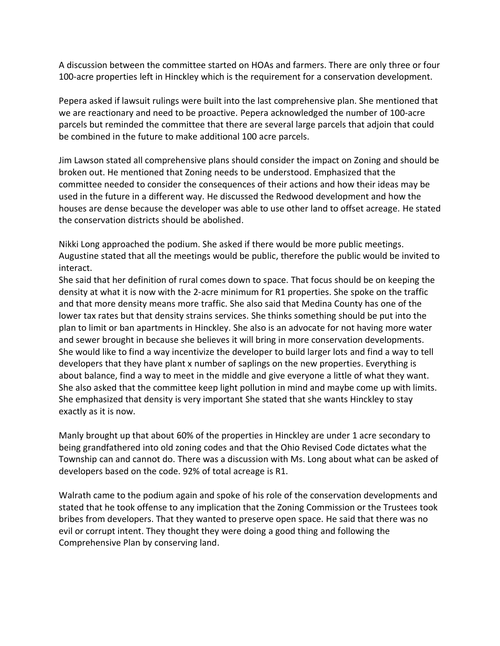A discussion between the committee started on HOAs and farmers. There are only three or four 100-acre properties left in Hinckley which is the requirement for a conservation development.

Pepera asked if lawsuit rulings were built into the last comprehensive plan. She mentioned that we are reactionary and need to be proactive. Pepera acknowledged the number of 100-acre parcels but reminded the committee that there are several large parcels that adjoin that could be combined in the future to make additional 100 acre parcels.

Jim Lawson stated all comprehensive plans should consider the impact on Zoning and should be broken out. He mentioned that Zoning needs to be understood. Emphasized that the committee needed to consider the consequences of their actions and how their ideas may be used in the future in a different way. He discussed the Redwood development and how the houses are dense because the developer was able to use other land to offset acreage. He stated the conservation districts should be abolished.

Nikki Long approached the podium. She asked if there would be more public meetings. Augustine stated that all the meetings would be public, therefore the public would be invited to interact.

She said that her definition of rural comes down to space. That focus should be on keeping the density at what it is now with the 2-acre minimum for R1 properties. She spoke on the traffic and that more density means more traffic. She also said that Medina County has one of the lower tax rates but that density strains services. She thinks something should be put into the plan to limit or ban apartments in Hinckley. She also is an advocate for not having more water and sewer brought in because she believes it will bring in more conservation developments. She would like to find a way incentivize the developer to build larger lots and find a way to tell developers that they have plant x number of saplings on the new properties. Everything is about balance, find a way to meet in the middle and give everyone a little of what they want. She also asked that the committee keep light pollution in mind and maybe come up with limits. She emphasized that density is very important She stated that she wants Hinckley to stay exactly as it is now.

Manly brought up that about 60% of the properties in Hinckley are under 1 acre secondary to being grandfathered into old zoning codes and that the Ohio Revised Code dictates what the Township can and cannot do. There was a discussion with Ms. Long about what can be asked of developers based on the code. 92% of total acreage is R1.

Walrath came to the podium again and spoke of his role of the conservation developments and stated that he took offense to any implication that the Zoning Commission or the Trustees took bribes from developers. That they wanted to preserve open space. He said that there was no evil or corrupt intent. They thought they were doing a good thing and following the Comprehensive Plan by conserving land.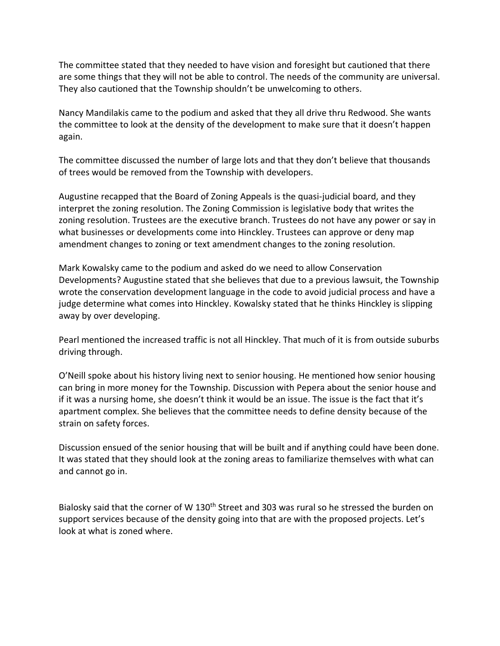The committee stated that they needed to have vision and foresight but cautioned that there are some things that they will not be able to control. The needs of the community are universal. They also cautioned that the Township shouldn't be unwelcoming to others.

Nancy Mandilakis came to the podium and asked that they all drive thru Redwood. She wants the committee to look at the density of the development to make sure that it doesn't happen again.

The committee discussed the number of large lots and that they don't believe that thousands of trees would be removed from the Township with developers.

Augustine recapped that the Board of Zoning Appeals is the quasi-judicial board, and they interpret the zoning resolution. The Zoning Commission is legislative body that writes the zoning resolution. Trustees are the executive branch. Trustees do not have any power or say in what businesses or developments come into Hinckley. Trustees can approve or deny map amendment changes to zoning or text amendment changes to the zoning resolution.

Mark Kowalsky came to the podium and asked do we need to allow Conservation Developments? Augustine stated that she believes that due to a previous lawsuit, the Township wrote the conservation development language in the code to avoid judicial process and have a judge determine what comes into Hinckley. Kowalsky stated that he thinks Hinckley is slipping away by over developing.

Pearl mentioned the increased traffic is not all Hinckley. That much of it is from outside suburbs driving through.

O'Neill spoke about his history living next to senior housing. He mentioned how senior housing can bring in more money for the Township. Discussion with Pepera about the senior house and if it was a nursing home, she doesn't think it would be an issue. The issue is the fact that it's apartment complex. She believes that the committee needs to define density because of the strain on safety forces.

Discussion ensued of the senior housing that will be built and if anything could have been done. It was stated that they should look at the zoning areas to familiarize themselves with what can and cannot go in.

Bialosky said that the corner of W 130<sup>th</sup> Street and 303 was rural so he stressed the burden on support services because of the density going into that are with the proposed projects. Let's look at what is zoned where.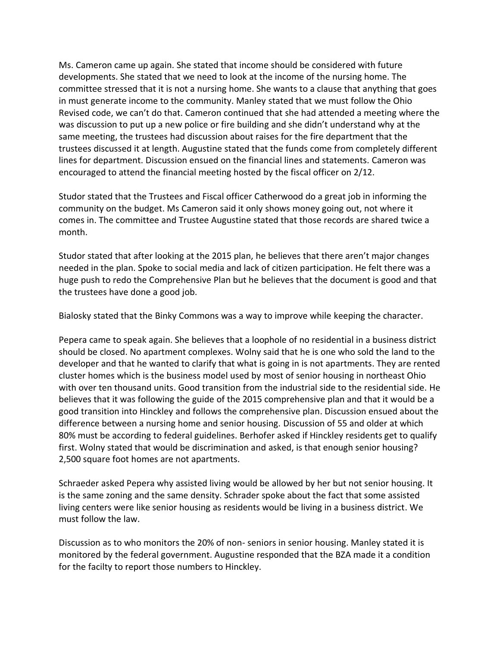Ms. Cameron came up again. She stated that income should be considered with future developments. She stated that we need to look at the income of the nursing home. The committee stressed that it is not a nursing home. She wants to a clause that anything that goes in must generate income to the community. Manley stated that we must follow the Ohio Revised code, we can't do that. Cameron continued that she had attended a meeting where the was discussion to put up a new police or fire building and she didn't understand why at the same meeting, the trustees had discussion about raises for the fire department that the trustees discussed it at length. Augustine stated that the funds come from completely different lines for department. Discussion ensued on the financial lines and statements. Cameron was encouraged to attend the financial meeting hosted by the fiscal officer on 2/12.

Studor stated that the Trustees and Fiscal officer Catherwood do a great job in informing the community on the budget. Ms Cameron said it only shows money going out, not where it comes in. The committee and Trustee Augustine stated that those records are shared twice a month.

Studor stated that after looking at the 2015 plan, he believes that there aren't major changes needed in the plan. Spoke to social media and lack of citizen participation. He felt there was a huge push to redo the Comprehensive Plan but he believes that the document is good and that the trustees have done a good job.

Bialosky stated that the Binky Commons was a way to improve while keeping the character.

Pepera came to speak again. She believes that a loophole of no residential in a business district should be closed. No apartment complexes. Wolny said that he is one who sold the land to the developer and that he wanted to clarify that what is going in is not apartments. They are rented cluster homes which is the business model used by most of senior housing in northeast Ohio with over ten thousand units. Good transition from the industrial side to the residential side. He believes that it was following the guide of the 2015 comprehensive plan and that it would be a good transition into Hinckley and follows the comprehensive plan. Discussion ensued about the difference between a nursing home and senior housing. Discussion of 55 and older at which 80% must be according to federal guidelines. Berhofer asked if Hinckley residents get to qualify first. Wolny stated that would be discrimination and asked, is that enough senior housing? 2,500 square foot homes are not apartments.

Schraeder asked Pepera why assisted living would be allowed by her but not senior housing. It is the same zoning and the same density. Schrader spoke about the fact that some assisted living centers were like senior housing as residents would be living in a business district. We must follow the law.

Discussion as to who monitors the 20% of non- seniors in senior housing. Manley stated it is monitored by the federal government. Augustine responded that the BZA made it a condition for the facilty to report those numbers to Hinckley.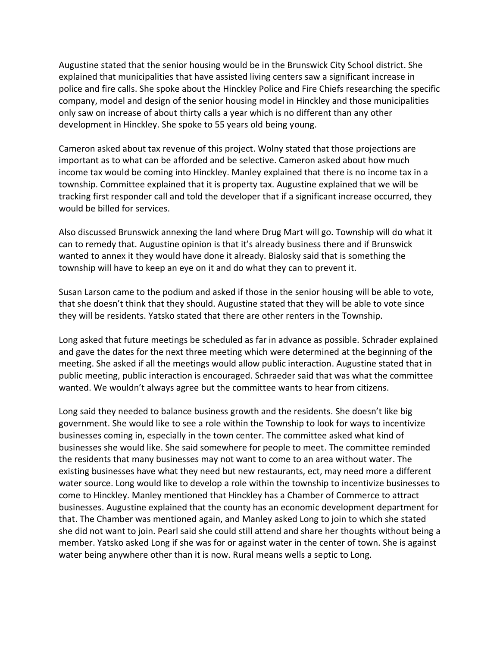Augustine stated that the senior housing would be in the Brunswick City School district. She explained that municipalities that have assisted living centers saw a significant increase in police and fire calls. She spoke about the Hinckley Police and Fire Chiefs researching the specific company, model and design of the senior housing model in Hinckley and those municipalities only saw on increase of about thirty calls a year which is no different than any other development in Hinckley. She spoke to 55 years old being young.

Cameron asked about tax revenue of this project. Wolny stated that those projections are important as to what can be afforded and be selective. Cameron asked about how much income tax would be coming into Hinckley. Manley explained that there is no income tax in a township. Committee explained that it is property tax. Augustine explained that we will be tracking first responder call and told the developer that if a significant increase occurred, they would be billed for services.

Also discussed Brunswick annexing the land where Drug Mart will go. Township will do what it can to remedy that. Augustine opinion is that it's already business there and if Brunswick wanted to annex it they would have done it already. Bialosky said that is something the township will have to keep an eye on it and do what they can to prevent it.

Susan Larson came to the podium and asked if those in the senior housing will be able to vote, that she doesn't think that they should. Augustine stated that they will be able to vote since they will be residents. Yatsko stated that there are other renters in the Township.

Long asked that future meetings be scheduled as far in advance as possible. Schrader explained and gave the dates for the next three meeting which were determined at the beginning of the meeting. She asked if all the meetings would allow public interaction. Augustine stated that in public meeting, public interaction is encouraged. Schraeder said that was what the committee wanted. We wouldn't always agree but the committee wants to hear from citizens.

Long said they needed to balance business growth and the residents. She doesn't like big government. She would like to see a role within the Township to look for ways to incentivize businesses coming in, especially in the town center. The committee asked what kind of businesses she would like. She said somewhere for people to meet. The committee reminded the residents that many businesses may not want to come to an area without water. The existing businesses have what they need but new restaurants, ect, may need more a different water source. Long would like to develop a role within the township to incentivize businesses to come to Hinckley. Manley mentioned that Hinckley has a Chamber of Commerce to attract businesses. Augustine explained that the county has an economic development department for that. The Chamber was mentioned again, and Manley asked Long to join to which she stated she did not want to join. Pearl said she could still attend and share her thoughts without being a member. Yatsko asked Long if she was for or against water in the center of town. She is against water being anywhere other than it is now. Rural means wells a septic to Long.